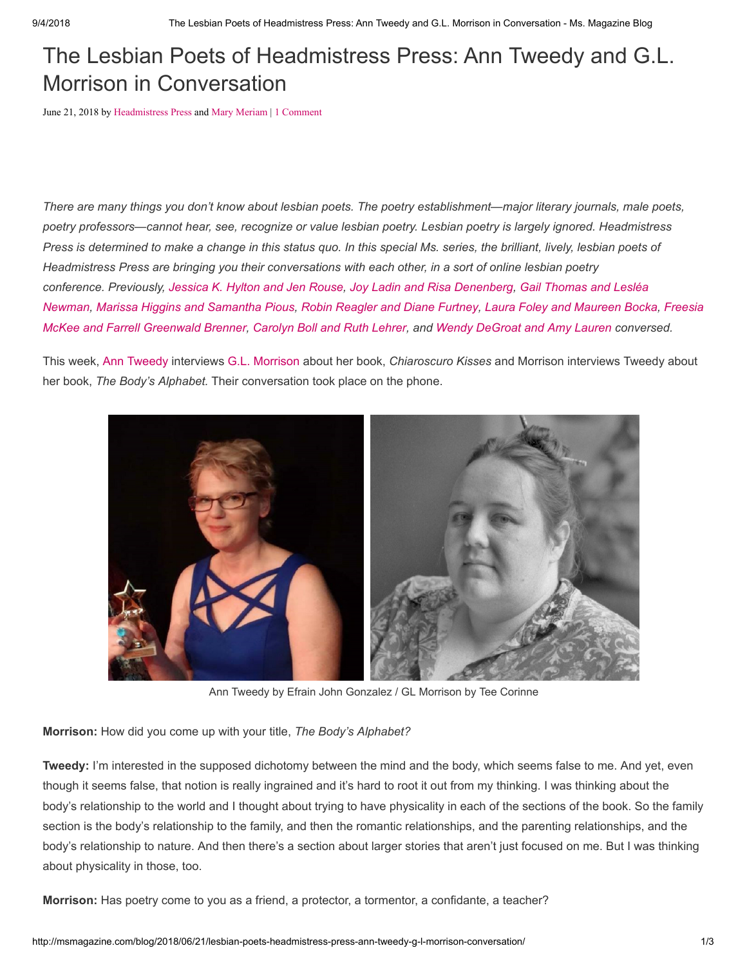## The Lesbian Poets of Headmistress Press: Ann Tweedy and G.L. Morrison in Conversation

June 21, 2018 by [Headmistress Press](http://msmagazine.com/blog/author/headmistresspress/) and [Mary Meriam](http://msmagazine.com/blog/author/marymeriam/) | [1 Comment](http://msmagazine.com/blog/2018/06/21/lesbian-poets-headmistress-press-ann-tweedy-g-l-morrison-conversation/#comments)

*There are many things you don't know about lesbian poets. The poetry establishment—major literary journals, male poets, poetry professors—cannot hear, see, recognize or value lesbian poetry. Lesbian poetry is largely ignored. Headmistress Press is determined to make a change in this status quo. In this special Ms. series, the brilliant, lively, lesbian poets of Headmistress Press are bringing you their conversations with each other, in a sort of online lesbian poetry conference. Previously, [Jessica K. Hylton and Jen Rouse,](http://msmagazine.com/blog/2018/04/19/the-lesbian-poets-of-headmistress-press-jessica-k-hylton-and-jen-rouse-in-conversation/) [Joy Ladin and Risa Denenberg](http://msmagazine.com/blog/2018/04/26/lesbian-poets-headmistress-press-joy-ladin-risa-denenberg-conversation/), Gail Thomas and Lesléa [Newman, Marissa Higgins and Samantha Pious, Robin Reagler and Diane Furtney, Laura Foley and Maureen Boc](http://msmagazine.com/blog/2018/05/03/the-lesbian-poets-of-headmistress-press-gail-thomas-and-leslea-newman-in-conversation-2/)[ka](http://msmagazine.com/blog/2018/05/24/the-lesbian-poets-of-headmistress-press-laura-foley-and-maureen-bocka/)[, Freesia](http://msmagazine.com/blog/2018/05/31/lesbian-poets-headmistress-press-freesia-mckee-farrell-greenwald-brenner-conversation/) McKee and Farrell Greenwald Brenner, [Carolyn Boll and Ruth Lehrer](http://msmagazine.com/blog/2018/06/07/lesbian-poets-headmistress-press-watch-carolyn-boll-ruth-lehrer-duet/), and [Wendy DeGroat and Amy Lauren](http://msmagazine.com/blog/2018/06/14/lesbian-poets-headmistress-press-amy-lauren-wendy-degroat-conversation/) conversed.*

This week, [Ann Tweedy](http://anntweedy.com/) interviews [G.L. Morrison](https://squareup.com/store/headmistress-press/item/chiaroscuro-kisses-g-l-morrison) about her book, *Chiaroscuro Kisses* and Morrison interviews Tweedy about her book, *The Body's Alphabet.* Their conversation took place on the phone.



Ann Tweedy by Efrain John Gonzalez / GL Morrison by Tee Corinne

**Morrison:** How did you come up with your title, *The Body's Alphabet?*

**Tweedy:** I'm interested in the supposed dichotomy between the mind and the body, which seems false to me. And yet, even though it seems false, that notion is really ingrained and it's hard to root it out from my thinking. I was thinking about the body's relationship to the world and I thought about trying to have physicality in each of the sections of the book. So the family section is the body's relationship to the family, and then the romantic relationships, and the parenting relationships, and the body's relationship to nature. And then there's a section about larger stories that aren't just focused on me. But I was thinking about physicality in those, too.

**Morrison:** Has poetry come to you as a friend, a protector, a tormentor, a confidante, a teacher?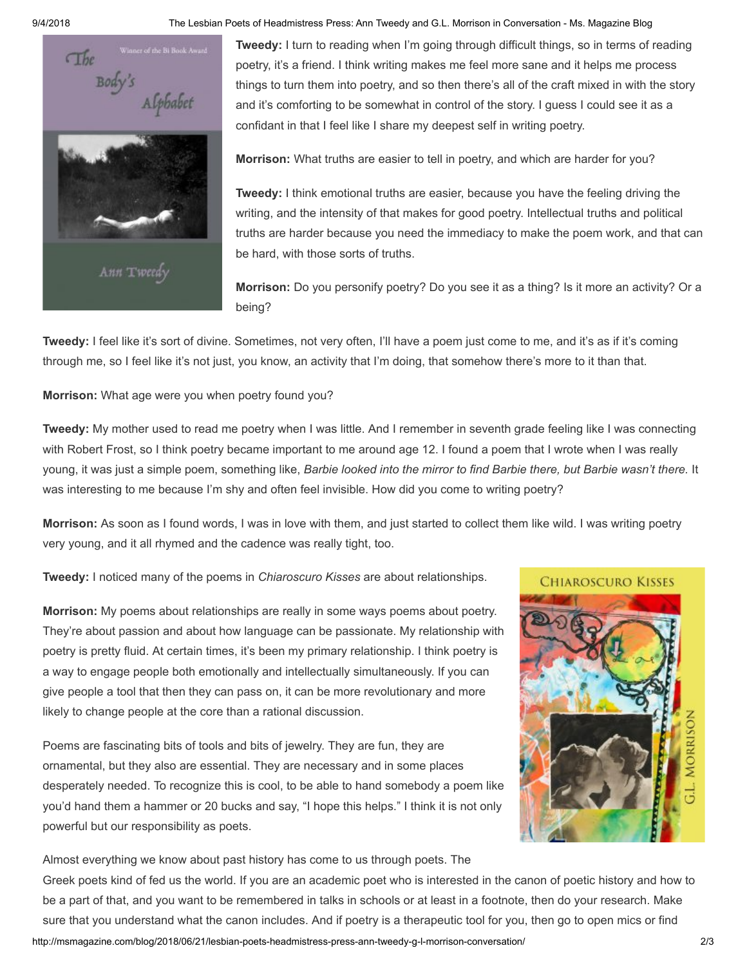

9/4/2018 The Lesbian Poets of Headmistress Press: Ann Tweedy and G.L. Morrison in Conversation - Ms. Magazine Blog

**Tweedy:** I turn to reading when I'm going through difficult things, so in terms of reading poetry, it's a friend. I think writing makes me feel more sane and it helps me process things to turn them into poetry, and so then there's all of the craft mixed in with the story and it's comforting to be somewhat in control of the story. I guess I could see it as a confidant in that I feel like I share my deepest self in writing poetry.

**Morrison:** What truths are easier to tell in poetry, and which are harder for you?

**Tweedy:** I think emotional truths are easier, because you have the feeling driving the writing, and the intensity of that makes for good poetry. Intellectual truths and political truths are harder because you need the immediacy to make the poem work, and that can be hard, with those sorts of truths.

**Morrison:** Do you personify poetry? Do you see it as a thing? Is it more an activity? Or a being?

**Tweedy:** I feel like it's sort of divine. Sometimes, not very often, I'll have a poem just come to me, and it's as if it's coming through me, so I feel like it's not just, you know, an activity that I'm doing, that somehow there's more to it than that.

**Morrison:** What age were you when poetry found you?

**Tweedy:** My mother used to read me poetry when I was little. And I remember in seventh grade feeling like I was connecting with Robert Frost, so I think poetry became important to me around age 12. I found a poem that I wrote when I was really young, it was just a simple poem, something like, *Barbie looked into the mirror to find Barbie there, but Barbie wasn't there.* It was interesting to me because I'm shy and often feel invisible. How did you come to writing poetry?

**Morrison:** As soon as I found words, I was in love with them, and just started to collect them like wild. I was writing poetry very young, and it all rhymed and the cadence was really tight, too.

**Tweedy:** I noticed many of the poems in *Chiaroscuro Kisses* are about relationships.

**Morrison:** My poems about relationships are really in some ways poems about poetry. They're about passion and about how language can be passionate. My relationship with poetry is pretty fluid. At certain times, it's been my primary relationship. I think poetry is a way to engage people both emotionally and intellectually simultaneously. If you can give people a tool that then they can pass on, it can be more revolutionary and more likely to change people at the core than a rational discussion.

Poems are fascinating bits of tools and bits of jewelry. They are fun, they are ornamental, but they also are essential. They are necessary and in some places desperately needed. To recognize this is cool, to be able to hand somebody a poem like you'd hand them a hammer or 20 bucks and say, "I hope this helps." I think it is not only powerful but our responsibility as poets.



Almost everything we know about past history has come to us through poets. The

http://msmagazine.com/blog/2018/06/21/lesbian-poets-headmistress-press-ann-tweedy-g-l-morrison-conversation/ 2/3 Greek poets kind of fed us the world. If you are an academic poet who is interested in the canon of poetic history and how to be a part of that, and you want to be remembered in talks in schools or at least in a footnote, then do your research. Make sure that you understand what the canon includes. And if poetry is a therapeutic tool for you, then go to open mics or find